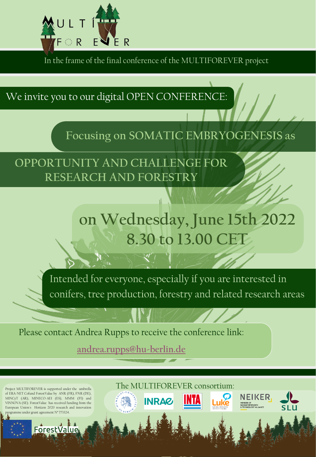

In the frame of the final conference of the MULTIFOREVER project

We invite you to our digital OPEN CONFERENCE:

**Focusing on SOMATIC EMBRYOGENESIS as**

**OPPORTUNITY AND CHALLENGE FOR RESEARCH AND FORESTRY** 

## **on Wednesday, June 15th 2022 8.30 to 13.00 CET**

Intended for everyone, especially if you are interested in conifers, tree production, forestry and related research areas

The MULTIFOREVER consortium:

**INRAG** 

**NEIKER** 

Luke

Please contact Andrea Rupps to receive the conference link:

**[andrea.rupps@hu-berlin.de](mailto:andrea.rupps@hu-berlin.de)**

Project MULTIFOREVER is supported under the umbrella of ERA-NET Cofund ForestValue by ANR (FR), FNR (DE), MINCyT (AR), MINECO-AEI (ES), MMM (FI) and VINNOVA (SE). ForestValue has received funding from the European Union's Horizon 2020 research and innovation mme under grant agreement N° 773324.

Forest Value